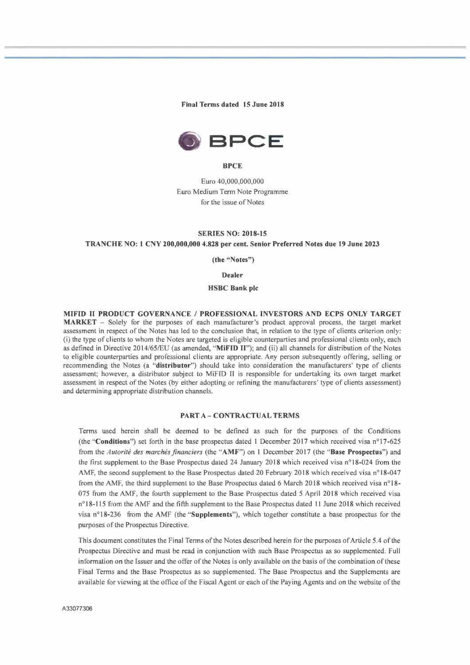**Final Terms dated 15 June 2018** 



#### **BPCE**

Euro 40,000,000,000 Euro Medium Term Note Programme for the issue of Notes

## **SERIES NO: 2018-15**

### **TRANCHE NO: 1 CNY 200,000,000 4.828 per cent. Senior Preferred Notes due 19 June 2023**

**(the "Notes")** 

# **Dealer**

## **HSBC Bank pic**

**MIFID II PRODUCT GOVERNANCE / PROFESSIONAL INVESTORS AND ECPS ONLY TARGET MARKET -** Solely for the purposes of each manufacturer's product approval process, the target market assessment in respect of the Notes has led to the conclusion that, in relation to the type of clients criterion only: (i) the type of clients to whom the Notes are targeted is eligible counterparties and professional clients only, each as defined in Directive 2014/65/EU (as amended, **"MiFID II");** and (ii) all channels for distribution of the Notes to eligible counterparties and professional clients are appropriate. Any person subsequently offering, selling or recommending the Notes (a **"distributor")** should take into consideration the manufacturers' type of clients assessment; however, a distributor subject to MiFID II is responsible for undertaking its own target market assessment in respect of the Notes (by either adopting or refining the manufacturers' type of clients assessment) and determining appropriate distribution channels.

#### **PART A- CONTRACTUAL TERMS**

Terms used herein shall be deemed to be defined as such for the purposes of the Conditions (the **"Conditions")** set forth in the base prospectus dated **1** December 2017 which received visa n° 17-625 from the *Autorité des marchés financiers* (the **"AMF")** on I December 2017 (the **"Base Prospectus")** and the first supplement to the Base Prospectus dated 24 January 2018 which received visa n° 18-024 from the AMF, the second supplement to the Base Prospectus dated 20 February 2018 which received visa n°18-047 from the AMF, the third supplement to the Base Prospectus dated 6 March 2018 which received visa n°18- 075 from the AMF, the fourth supplement to the Base Prospectus dated *5* April 2018 which received visa n° 18-115 from the AMF and the fifth supplement to the Base Prospectus dated 11 June 2018 which received visa n° 18-236 from the AMF (the **"Supplements"),** which together constitute a base prospectus for the purposes of the Prospectus Directive.

This document constitutes the Final Terms of the Notes described herein for the purposes of Article 5.4 of the Prospectus Directive and must be read in conjunction with such Base Prospectus as so supplemented. Full information on the Issuer and the offer of the Notes is only available on the basis of the combination of these Final Terms and the Base Prospectus as so supplemented. The Base Prospectus and the Supplements are available for viewing at the office of the Fiscal Agent or each of the Paying Agents and on the website of the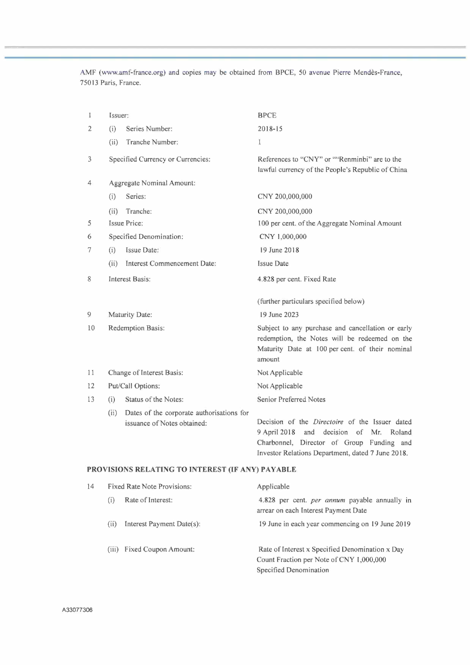AMF (www.amf-france.org) and copies may be obtained from BPCE, 50 avenue Pierre Mendès-France, 75013 Paris, France.

| 1  | Issuer:                   |                                                                          | <b>BPCE</b>                                                                                                                                                     |  |  |
|----|---------------------------|--------------------------------------------------------------------------|-----------------------------------------------------------------------------------------------------------------------------------------------------------------|--|--|
| 2  | (i)                       | Series Number:                                                           | $2018 - 15$                                                                                                                                                     |  |  |
|    | (ii)                      | Tranche Number:                                                          | 1                                                                                                                                                               |  |  |
| 3  |                           | Specified Currency or Currencies:                                        | References to "CNY" or ""Renminbi" are to the<br>lawful currency of the People's Republic of China                                                              |  |  |
| 4  |                           | Aggregate Nominal Amount:                                                |                                                                                                                                                                 |  |  |
|    | (i)                       | Series:                                                                  | CNY 200,000,000                                                                                                                                                 |  |  |
|    | (ii)                      | Tranche:                                                                 | CNY 200,000,000                                                                                                                                                 |  |  |
| 5  |                           | <b>Issue Price:</b>                                                      | 100 per cent. of the Aggregate Nominal Amount                                                                                                                   |  |  |
| 6  |                           | Specified Denomination:                                                  | CNY 1,000,000                                                                                                                                                   |  |  |
| 7  | (i)                       | Issue Date:                                                              | 19 June 2018                                                                                                                                                    |  |  |
|    | (ii)                      | Interest Commencement Date:                                              | <b>Issue Date</b>                                                                                                                                               |  |  |
| 8  |                           | <b>Interest Basis:</b>                                                   | 4.828 per cent. Fixed Rate                                                                                                                                      |  |  |
|    |                           |                                                                          | (further particulars specified below)                                                                                                                           |  |  |
| 9  | Maturity Date:            |                                                                          | 19 June 2023                                                                                                                                                    |  |  |
| 10 | Redemption Basis:         |                                                                          | Subject to any purchase and cancellation or early<br>redemption, the Notes will be redeemed on the<br>Maturity Date at 100 per cent. of their nominal<br>amount |  |  |
| 11 | Change of Interest Basis: |                                                                          | Not Applicable                                                                                                                                                  |  |  |
| 12 | Put/Call Options:         |                                                                          | Not Applicable                                                                                                                                                  |  |  |
| 13 | (i)                       | Status of the Notes:                                                     | Senior Preferred Notes                                                                                                                                          |  |  |
|    | (ii)                      | Dates of the corporate authorisations for<br>issuance of Notes obtained: | Decision of the <i>Directoire</i> of the Issuer dated<br>9 April 2018<br>and<br>decision<br>of<br>Mr.<br>Roland<br>Charbonnel, Director of Group Funding and    |  |  |

# **PROVISIONS RELATING TO INTEREST (IF ANY) PAYABLE**

| 14 |      | <b>Fixed Rate Note Provisions:</b> | Applicable                                                                                                            |  |  |
|----|------|------------------------------------|-----------------------------------------------------------------------------------------------------------------------|--|--|
|    | (1)  | Rate of Interest:                  | 4.828 per cent. <i>per annum</i> payable annually in<br>arrear on each Interest Payment Date                          |  |  |
|    | (ii) | Interest Payment Date(s):          | 19 June in each year commencing on 19 June 2019                                                                       |  |  |
|    |      | (iii) Fixed Coupon Amount:         | Rate of Interest x Specified Denomination x Day<br>Count Fraction per Note of CNY 1,000,000<br>Specified Denomination |  |  |

Investor Relations Department, dated 7 June 2018.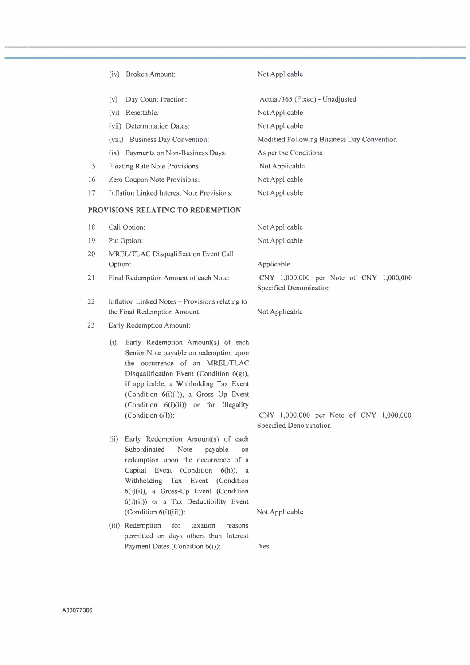|    | (iv) Broken Amount:                                                                                                                                                                                                                                                                                                 | Not Applicable                                                    |
|----|---------------------------------------------------------------------------------------------------------------------------------------------------------------------------------------------------------------------------------------------------------------------------------------------------------------------|-------------------------------------------------------------------|
|    | (v)<br>Day Count Fraction:                                                                                                                                                                                                                                                                                          | Actual/365 (Fixed) - Unadjusted                                   |
|    | (vi) Resettable:                                                                                                                                                                                                                                                                                                    | Not Applicable                                                    |
|    | (vii) Determination Dates:                                                                                                                                                                                                                                                                                          | Not Applicable                                                    |
|    | (viii) Business Day Convention:                                                                                                                                                                                                                                                                                     | Modified Following Business Day Convention                        |
|    | (ix) Payments on Non-Business Days:                                                                                                                                                                                                                                                                                 | As per the Conditions                                             |
| 15 | <b>Floating Rate Note Provisions</b>                                                                                                                                                                                                                                                                                | Not Applicable                                                    |
| 16 | Zero Coupon Note Provisions:                                                                                                                                                                                                                                                                                        | Not Applicable                                                    |
| 17 | Inflation Linked Interest Note Provisions:                                                                                                                                                                                                                                                                          | Not Applicable                                                    |
|    | <b>PROVISIONS RELATING TO REDEMPTION</b>                                                                                                                                                                                                                                                                            |                                                                   |
| 18 | Call Option:                                                                                                                                                                                                                                                                                                        | Not Applicable                                                    |
| 19 | Put Option:                                                                                                                                                                                                                                                                                                         | Not Applicable                                                    |
| 20 | MREL/TLAC Disqualification Event Call<br>Option:                                                                                                                                                                                                                                                                    | Applicable                                                        |
| 21 | Final Redemption Amount of each Note:                                                                                                                                                                                                                                                                               | CNY 1,000,000 per Note of CNY 1,000,000<br>Specified Denomination |
| 22 | Inflation Linked Notes - Provisions relating to<br>the Final Redemption Amount:                                                                                                                                                                                                                                     | Not Applicable                                                    |
| 23 | Early Redemption Amount:                                                                                                                                                                                                                                                                                            |                                                                   |
|    | Early Redemption Amount(s) of each<br>(i)<br>Senior Note payable on redemption upon<br>the occurrence of an MREL/TLAC<br>Disqualification Event (Condition 6(g)),<br>if applicable, a Withholding Tax Event<br>(Condition 6(i)(i)), a Gross Up Event<br>(Condition 6(i)(ii)) or for Illegality<br>(Condition 6(l)): | CNY 1,000,000 per Note of CNY 1,000,000<br>Specified Denomination |
|    | (ii) Early Redemption Amount(s) of each<br>Subordinated<br>Note<br>payable<br>on<br>redemption upon the occurrence of a<br>Capital Event (Condition 6(h)), a<br>Withholding Tax Event (Condition<br>$6(i)(i)$ , a Gross-Up Event (Condition<br>6(i)(ii)) or a Tax Deductibility Event<br>(Condition $6(i)(iii)$ ):  |                                                                   |
|    | (iii) Redemption<br>for<br>taxation<br>reasons<br>permitted on days others than Interest<br>Payment Dates (Condition 6(i)):                                                                                                                                                                                         | Not Applicable<br>Yes                                             |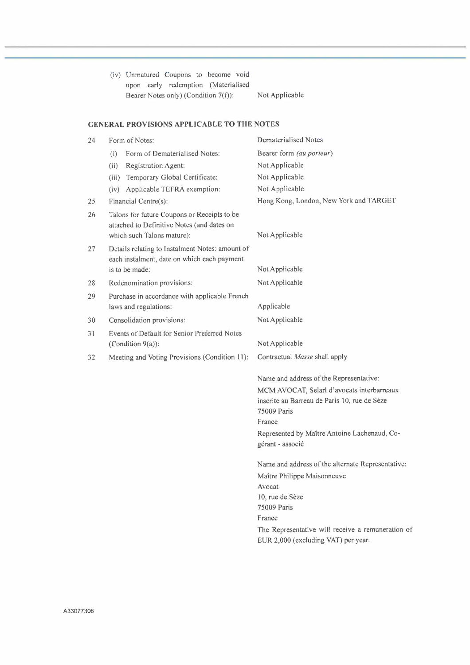|          |                                                                                                                         | (iv) Unmatured Coupons to become void<br>upon early redemption (Materialised<br>Bearer Notes only) (Condition 7(f)): | Not Applicable                                                                                                                                                                                                                            |
|----------|-------------------------------------------------------------------------------------------------------------------------|----------------------------------------------------------------------------------------------------------------------|-------------------------------------------------------------------------------------------------------------------------------------------------------------------------------------------------------------------------------------------|
|          |                                                                                                                         | <b>GENERAL PROVISIONS APPLICABLE TO THE NOTES</b>                                                                    |                                                                                                                                                                                                                                           |
| 24       |                                                                                                                         | Form of Notes:                                                                                                       | Dematerialised Notes                                                                                                                                                                                                                      |
|          | (i)                                                                                                                     | Form of Dematerialised Notes:                                                                                        | Bearer form (au porteur)                                                                                                                                                                                                                  |
|          | (ii)                                                                                                                    | Registration Agent:                                                                                                  | Not Applicable                                                                                                                                                                                                                            |
|          | (iii)                                                                                                                   | Temporary Global Certificate:                                                                                        | Not Applicable                                                                                                                                                                                                                            |
|          |                                                                                                                         | (iv) Applicable TEFRA exemption:                                                                                     | Not Applicable                                                                                                                                                                                                                            |
| 25       |                                                                                                                         | Financial Centre(s):                                                                                                 | Hong Kong, London, New York and TARGET                                                                                                                                                                                                    |
| 26<br>27 | Talons for future Coupons or Receipts to be<br>attached to Definitive Notes (and dates on<br>which such Talons mature): |                                                                                                                      | Not Applicable                                                                                                                                                                                                                            |
|          |                                                                                                                         | Details relating to Instalment Notes: amount of<br>each instalment, date on which each payment                       |                                                                                                                                                                                                                                           |
|          |                                                                                                                         | is to be made:                                                                                                       | Not Applicable                                                                                                                                                                                                                            |
| 28       |                                                                                                                         | Redenomination provisions:                                                                                           | Not Applicable                                                                                                                                                                                                                            |
| 29       |                                                                                                                         | Purchase in accordance with applicable French                                                                        |                                                                                                                                                                                                                                           |
|          |                                                                                                                         | laws and regulations:                                                                                                | Applicable                                                                                                                                                                                                                                |
| 30       | Consolidation provisions:                                                                                               |                                                                                                                      | Not Applicable                                                                                                                                                                                                                            |
| 31       |                                                                                                                         | Events of Default for Senior Preferred Notes                                                                         |                                                                                                                                                                                                                                           |
|          |                                                                                                                         | (Condition 9(a)):                                                                                                    | Not Applicable                                                                                                                                                                                                                            |
| 32       |                                                                                                                         | Meeting and Voting Provisions (Condition 11):                                                                        | Contractual Masse shall apply                                                                                                                                                                                                             |
|          |                                                                                                                         |                                                                                                                      | Name and address of the Representative:<br>MCM AVOCAT, Selarl d'avocats interbarreaux<br>inscrite au Barreau de Paris 10, rue de Sèze<br><b>75009 Paris</b><br>France<br>Represented by Maître Antoine Lachenaud, Co-<br>gérant - associé |
|          |                                                                                                                         |                                                                                                                      | Name and address of the alternate Representative:<br>Maître Philippe Maisonneuve<br>Avocat<br>10, rue de Sèze<br>75009 Paris<br>France<br>The Representative will receive a remuneration of<br>EUR 2,000 (excluding VAT) per year.        |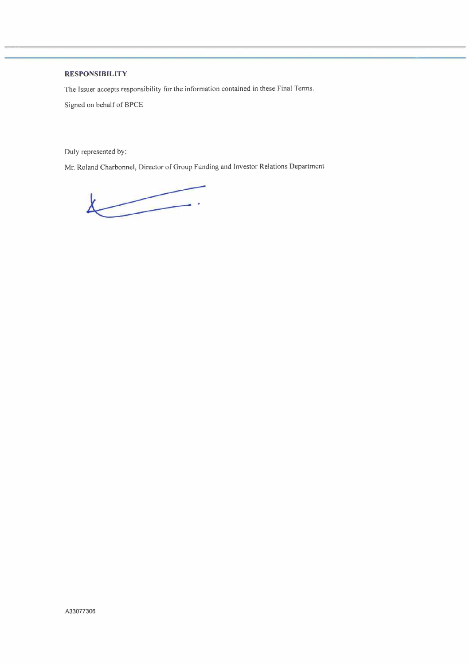# **RESPONSIBILITY**

The Issuer accepts responsibility for the information contained in these Final Terms.

Signed on behalf of BPCE

Duly represented by:

Mr. Roland Charbonnel, Director of Group Funding and Investor Relations Department

 $\overbrace{\phantom{aaaaa}}^{a}$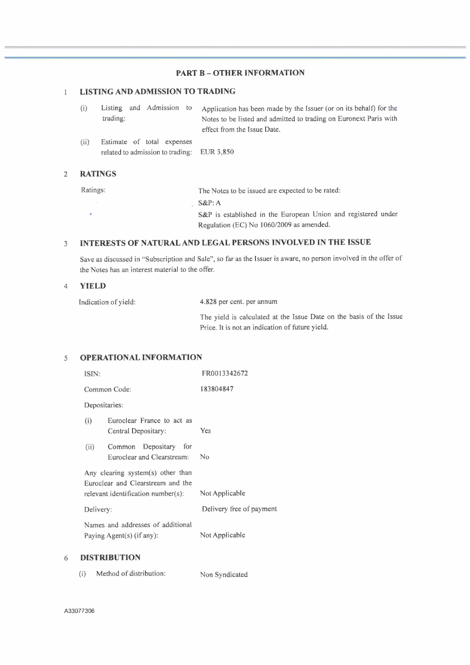# **PART B - OTHER INFORMATION**

#### **LISTING AND ADMISSION TO TRADING**   $\overline{1}$

| (i)  | Listing and Admission to<br>trading:                                     | Application has been made by the Issuer (or on its behalf) for the<br>Notes to be listed and admitted to trading on Euronext Paris with<br>effect from the Issue Date. |
|------|--------------------------------------------------------------------------|------------------------------------------------------------------------------------------------------------------------------------------------------------------------|
| (ii) | Estimate of total expenses<br>related to admission to trading: EUR 3,850 |                                                                                                                                                                        |

## 2 **RATINGS**

| Ratings: | The Notes to be issued are expected to be rated:              |  |  |  |  |
|----------|---------------------------------------------------------------|--|--|--|--|
|          | $S\&P:A$                                                      |  |  |  |  |
|          | S&P is established in the European Union and registered under |  |  |  |  |
|          | Regulation (EC) No 1060/2009 as amended.                      |  |  |  |  |

# 3 **INTERESTS OF NATURAL AND LEGAL PERSONS INVOLVED IN THE ISSUE**

Save as discussed in "Subscription and Sale", so far as the Issuer is aware, no person involved in the offer of the Notes has an interest material to the offer.

## 4 **YIELD**

Indication of yield: 4.828 per cent. per annum

The yield is calculated at the Issue Date on the basis of the Issue Price. It is not an indication of future yield.

# s **OPERATIONAL INFORMATION**

|   | ISIN:     |                                                                                                              | FR0013342672             |  |
|---|-----------|--------------------------------------------------------------------------------------------------------------|--------------------------|--|
|   |           | Common Code:                                                                                                 | 183804847                |  |
|   |           | Depositaries:                                                                                                |                          |  |
|   | (i)       | Euroclear France to act as<br>Central Depositary:                                                            | Yes                      |  |
|   | (ii)      | Depositary<br>Common<br>for<br>Euroclear and Clearstream:                                                    | Nο                       |  |
|   |           | Any clearing system(s) other than<br>Euroclear and Clearstream and the<br>relevant identification number(s): | Not Applicable           |  |
|   | Delivery: |                                                                                                              | Delivery free of payment |  |
|   |           | Names and addresses of additional<br>Paying Agent(s) (if any):                                               | Not Applicable           |  |
| 6 |           | <b>DISTRIBUTION</b>                                                                                          |                          |  |

| Method of distribution:<br>(i) | Non Syndicated |
|--------------------------------|----------------|
|--------------------------------|----------------|